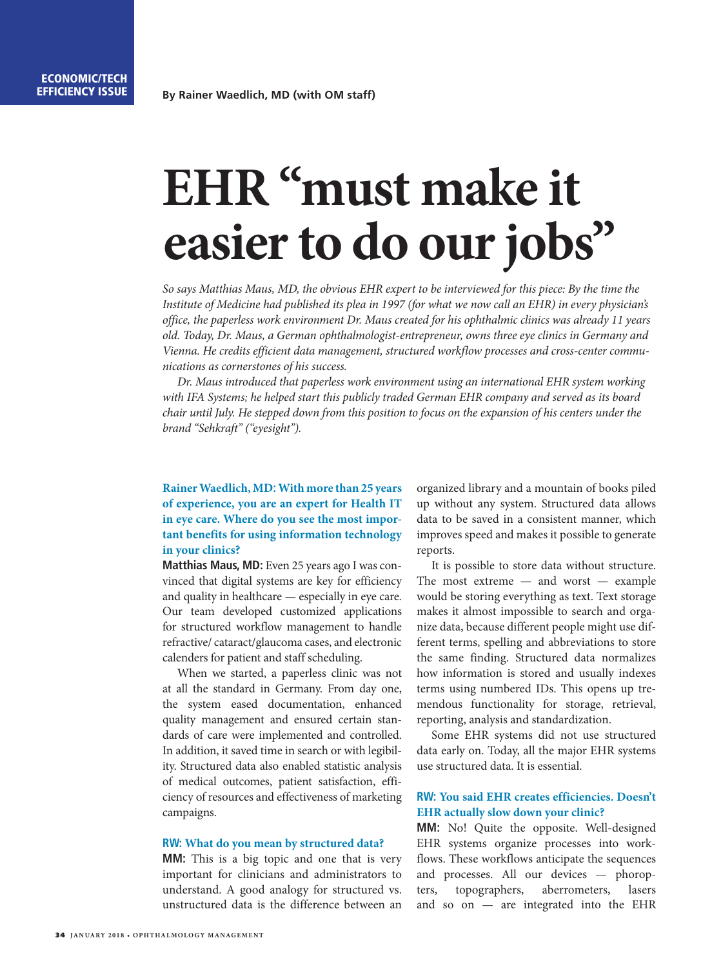# **EHR "must make it easier to do our jobs"**

*So says Matthias Maus, MD, the obvious EHR expert to be interviewed for this piece: By the time the Institute of Medicine had published its plea in 1997 (for what we now call an EHR) in every physician's office, the paperless work environment Dr. Maus created for his ophthalmic clinics was already 11 years old. Today, Dr. Maus, a German ophthalmologist-entrepreneur, owns three eye clinics in Germany and Vienna. He credits efficient data management, structured workflow processes and cross-center communications as cornerstones of his success.* 

*Dr. Maus introduced that paperless work environment using an international EHR system working with IFA Systems; he helped start this publicly traded German EHR company and served as its board chair until July. He stepped down from this position to focus on the expansion of his centers under the brand "Sehkraft" ("eyesight").* 

## **Rainer Waedlich, MD: With more than 25 years of experience, you are an expert for Health IT in eye care. Where do you see the most important benefits for using information technology in your clinics?**

**Matthias Maus, MD:** Even 25 years ago I was convinced that digital systems are key for efficiency and quality in healthcare — especially in eye care. Our team developed customized applications for structured workflow management to handle refractive/ cataract/glaucoma cases, and electronic calenders for patient and staff scheduling.

When we started, a paperless clinic was not at all the standard in Germany. From day one, the system eased documentation, enhanced quality management and ensured certain standards of care were implemented and controlled. In addition, it saved time in search or with legibility. Structured data also enabled statistic analysis of medical outcomes, patient satisfaction, efficiency of resources and effectiveness of marketing campaigns.

## **RW: What do you mean by structured data?**

**MM:** This is a big topic and one that is very important for clinicians and administrators to understand. A good analogy for structured vs. unstructured data is the difference between an organized library and a mountain of books piled up without any system. Structured data allows data to be saved in a consistent manner, which improves speed and makes it possible to generate reports.

It is possible to store data without structure. The most extreme — and worst — example would be storing everything as text. Text storage makes it almost impossible to search and organize data, because different people might use different terms, spelling and abbreviations to store the same finding. Structured data normalizes how information is stored and usually indexes terms using numbered IDs. This opens up tremendous functionality for storage, retrieval, reporting, analysis and standardization.

Some EHR systems did not use structured data early on. Today, all the major EHR systems use structured data. It is essential.

## **RW: You said EHR creates efficiencies. Doesn't EHR actually slow down your clinic?**

**MM:** No! Quite the opposite. Well-designed EHR systems organize processes into workflows. These workflows anticipate the sequences and processes. All our devices — phoropters, topographers, aberrometers, lasers and so on — are integrated into the EHR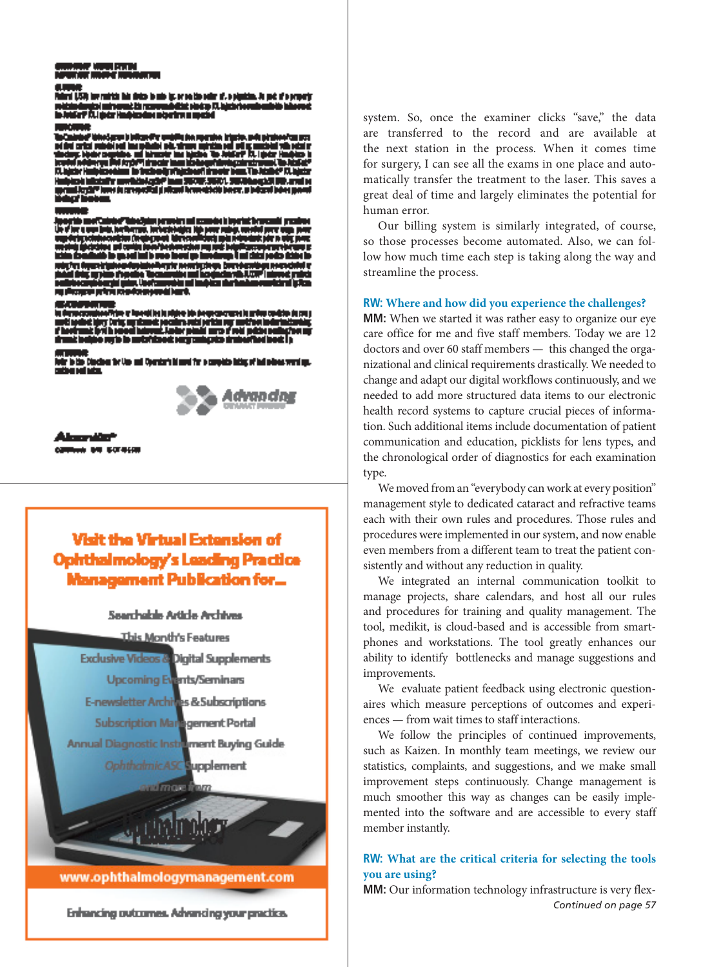.<br>Silj bermirkis his deko is mis ip eren tils edir af, o pipatim, is pot af o prop in dengaj kalendari iti penumbatan da<br>Gali A.Lipta Halpinada Internetia tint pindap (71.b)

m المنافذات

the Diecleon for Use and Operator's himself for a complete lating of had select very lay.



a bu salaw

## Visit the Virtual Extension of ohthalmology's Leading Practice snagement Publication for…

## Searchable Article Archives

This Month's Features **Exclusive Videos & Digital Supplements Upcoming Events/Seminars** E-newsletter Archives & Subscriptions **Subscription Management Portal** Annual Diagnostic Instrument Buying Guide OphthalmicASC aupplement *<u>afmore</u>* 

www.ophthalmologymanagement.com

Enhancing outcomes. Advancing your practice.

system. So, once the examiner clicks "save," the data are transferred to the record and are available at the next station in the process. When it comes time for surgery, I can see all the exams in one place and automatically transfer the treatment to the laser. This saves a great deal of time and largely eliminates the potential for human error.

Our billing system is similarly integrated, of course, so those processes become automated. Also, we can follow how much time each step is taking along the way and streamline the process.

## **RW: Where and how did you experience the challenges?**

**MM:** When we started it was rather easy to organize our eye care office for me and five staff members. Today we are 12 doctors and over 60 staff members — this changed the organizational and clinical requirements drastically. We needed to change and adapt our digital workflows continuously, and we needed to add more structured data items to our electronic health record systems to capture crucial pieces of information. Such additional items include documentation of patient communication and education, picklists for lens types, and the chronological order of diagnostics for each examination type.

We moved from an "everybody can work at every position" management style to dedicated cataract and refractive teams each with their own rules and procedures. Those rules and procedures were implemented in our system, and now enable even members from a different team to treat the patient consistently and without any reduction in quality.

We integrated an internal communication toolkit to manage projects, share calendars, and host all our rules and procedures for training and quality management. The tool, medikit, is cloud-based and is accessible from smartphones and workstations. The tool greatly enhances our ability to identify bottlenecks and manage suggestions and improvements.

We evaluate patient feedback using electronic questionaires which measure perceptions of outcomes and experiences — from wait times to staff interactions.

We follow the principles of continued improvements, such as Kaizen. In monthly team meetings, we review our statistics, complaints, and suggestions, and we make small improvement steps continuously. Change management is much smoother this way as changes can be easily implemented into the software and are accessible to every staff member instantly.

## **RW: What are the critical criteria for selecting the tools you are using?**

**MM:** Our information technology infrastructure is very flex-*Continued on page 57*